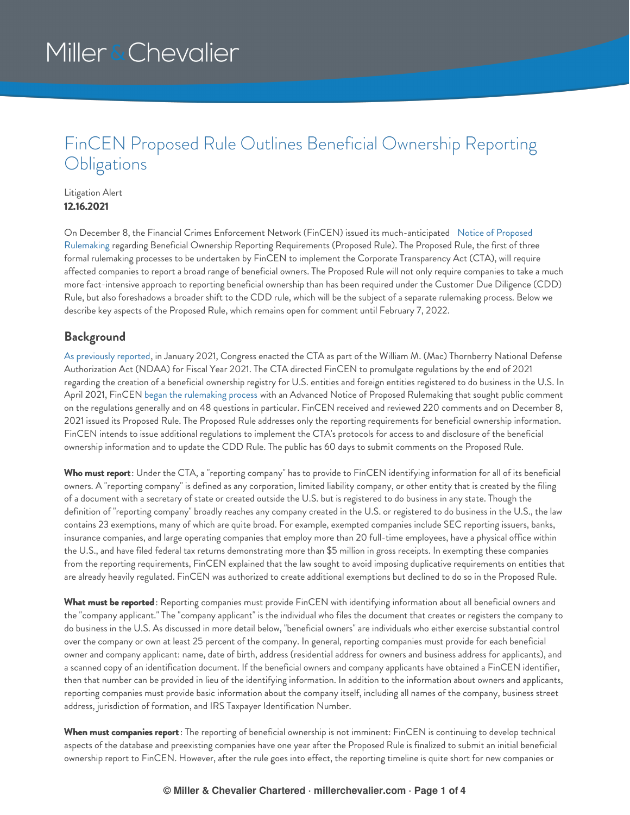### FinCEN Proposed Rule Outlines Beneficial Ownership Reporting **Obligations**

#### Litigation Alert **12.16.2021**

On December 8, the Financial Crimes Enforcement Network (FinCEN) issued its [much-anticipated](https://www.federalregister.gov/documents/2021/12/08/2021-26548/beneficial-ownership-information-reporting-requirements) Notice of Proposed Rulemaking regarding Beneficial Ownership Reporting Requirements (Proposed Rule). The Proposed Rule, the first of three formal rulemaking processes to be undertaken by FinCEN to implement the Corporate Transparency Act (CTA), will require affected companies to report a broad range of beneficial owners. The Proposed Rule will not only require companies to take a much more fact-intensive approach to reporting beneficial ownership than has been required under the Customer Due Diligence (CDD) Rule, but also foreshadows a broader shift to the CDD rule, which will be the subject of a separate rulemaking process. Below we describe key aspects of the Proposed Rule, which remains open for comment until February 7, 2022.

#### **Background**

As [previously](https://www.millerchevalier.com/publication/money-laundering-enforcement-trends-winter-2021#CTA) reported, in January 2021, Congress enacted the CTA as part of the William M. (Mac) Thornberry National Defense Authorization Act (NDAA) for Fiscal Year 2021. The CTA directed FinCEN to promulgate regulations by the end of 2021 regarding the creation of a beneficial ownership registry for U.S. entities and foreign entities registered to do business in the U.S. In April 2021, FinCEN began the [rulemaking](https://www.millerchevalier.com/publication/fincen-seeks-comments-beneficial-ownership-registry) process with an Advanced Notice of Proposed Rulemaking that sought public comment on the regulations generally and on 48 questions in particular. FinCEN received and reviewed 220 comments and on December 8, 2021 issued its Proposed Rule. The Proposed Rule addresses only the reporting requirements for beneficial ownership information. FinCEN intends to issue additional regulations to implement the CTA's protocols for access to and disclosure of the beneficial ownership information and to update the CDD Rule. The public has 60 days to submit comments on the Proposed Rule.

**Who must report**: Under the CTA, a "reporting company" has to provide to FinCEN identifying information for all of its beneficial owners. A "reporting company" is defined as any corporation, limited liability company, or other entity that is created by the filing of a document with a secretary of state or created outside the U.S. but is registered to do business in any state. Though the definition of "reporting company" broadly reaches any company created in the U.S. or registered to do business in the U.S., the law contains 23 exemptions, many of which are quite broad. For example, exempted companies include SEC reporting issuers, banks, insurance companies, and large operating companies that employ more than 20 full-time employees, have a physical office within the U.S., and have filed federal tax returns demonstrating more than \$5 million in gross receipts. In exempting these companies from the reporting requirements, FinCEN explained that the law sought to avoid imposing duplicative requirements on entities that are already heavily regulated. FinCEN was authorized to create additional exemptions but declined to do so in the Proposed Rule.

**What must be reported**: Reporting companies must provide FinCEN with identifying information about all beneficial owners and the "company applicant." The "company applicant" is the individual who files the document that creates or registers the company to do business in the U.S. As discussed in more detail below, "beneficial owners" are individuals who either exercise substantial control over the company or own at least 25 percent of the company. In general, reporting companies must provide for each beneficial owner and company applicant: name, date of birth, address (residential address for owners and business address for applicants), and a scanned copy of an identification document. If the beneficial owners and company applicants have obtained a FinCEN identifier, then that number can be provided in lieu of the identifying information. In addition to the information about owners and applicants, reporting companies must provide basic information about the company itself, including all names of the company, business street address, jurisdiction of formation, and IRS Taxpayer Identification Number.

**When must companies report**: The reporting of beneficial ownership is not imminent: FinCEN is continuing to develop technical aspects of the database and preexisting companies have one year after the Proposed Rule is finalized to submit an initial beneficial ownership report to FinCEN. However, after the rule goes into effect, the reporting timeline is quite short for new companies or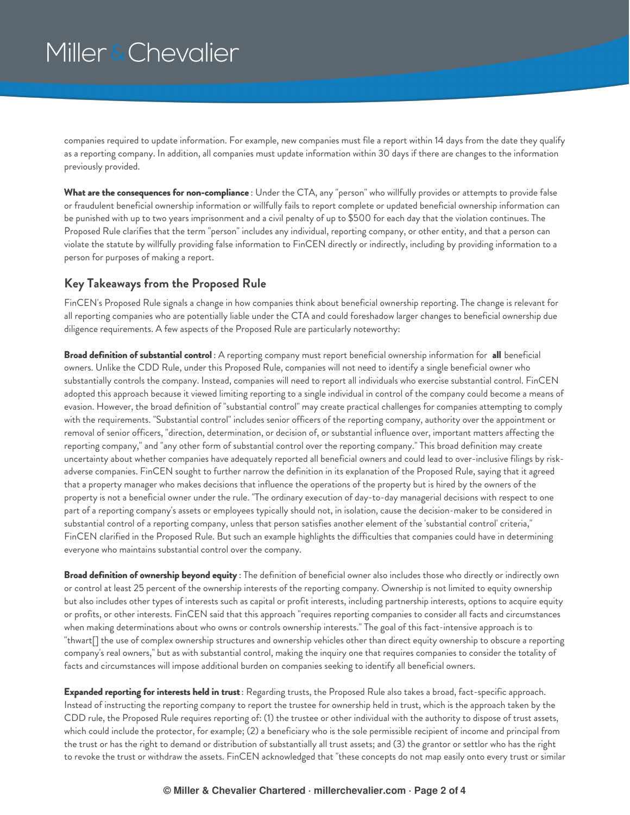companies required to update information. For example, new companies must file a report within 14 days from the date they qualify as a reporting company. In addition, all companies must update information within 30 days if there are changes to the information previously provided.

**What are the consequences for non-compliance** : Under the CTA, any "person" who willfully provides or attempts to provide false or fraudulent beneficial ownership information or willfully fails to report complete or updated beneficial ownership information can be punished with up to two years imprisonment and a civil penalty of up to \$500 for each day that the violation continues. The Proposed Rule clarifies that the term "person" includes any individual, reporting company, or other entity, and that a person can violate the statute by willfully providing false information to FinCEN directly or indirectly, including by providing information to a person for purposes of making a report.

#### **Key Takeaways from the Proposed Rule**

FinCEN's Proposed Rule signals a change in how companies think about beneficial ownership reporting. The change is relevant for all reporting companies who are potentially liable under the CTA and could foreshadow larger changes to beneficial ownership due diligence requirements. A few aspects of the Proposed Rule are particularly noteworthy:

**Broad definition of substantial control** : A reporting company must report beneficial ownership information for **all** beneficial owners. Unlike the CDD Rule, under this Proposed Rule, companies will not need to identify a single beneficial owner who substantially controls the company. Instead, companies will need to report all individuals who exercise substantial control. FinCEN adopted this approach because it viewed limiting reporting to a single individual in control of the company could become a means of evasion. However, the broad definition of "substantial control" may create practical challenges for companies attempting to comply with the requirements. "Substantial control" includes senior officers of the reporting company, authority over the appointment or removal of senior officers, "direction, determination, or decision of, or substantial influence over, important matters affecting the reporting company," and "any other form of substantial control over the reporting company." This broad definition may create uncertainty about whether companies have adequately reported all beneficial owners and could lead to over-inclusive filings by riskadverse companies. FinCEN sought to further narrow the definition in its explanation of the Proposed Rule, saying that it agreed that a property manager who makes decisions that influence the operations of the property but is hired by the owners of the property is not a beneficial owner under the rule. "The ordinary execution of day-to-day managerial decisions with respect to one part of a reporting company's assets or employees typically should not, in isolation, cause the decision-maker to be considered in substantial control of a reporting company, unless that person satisfies another element of the 'substantial control' criteria," FinCEN clarified in the Proposed Rule. But such an example highlights the difficulties that companies could have in determining everyone who maintains substantial control over the company.

**Broad definition of ownership beyond equity** : The definition of beneficial owner also includes those who directly or indirectly own or control at least 25 percent of the ownership interests of the reporting company. Ownership is not limited to equity ownership but also includes other types of interests such as capital or profit interests, including partnership interests, options to acquire equity or profits, or other interests. FinCEN said that this approach "requires reporting companies to consider all facts and circumstances when making determinations about who owns or controls ownership interests." The goal of this fact-intensive approach is to "thwart[] the use of complex ownership structures and ownership vehicles other than direct equity ownership to obscure a reporting company's real owners," but as with substantial control, making the inquiry one that requires companies to consider the totality of facts and circumstances will impose additional burden on companies seeking to identify all beneficial owners.

**Expanded reporting for interests held in trust**: Regarding trusts, the Proposed Rule also takes a broad, fact-specific approach. Instead of instructing the reporting company to report the trustee for ownership held in trust, which is the approach taken by the CDD rule, the Proposed Rule requires reporting of: (1) the trustee or other individual with the authority to dispose of trust assets, which could include the protector, for example; (2) a beneficiary who is the sole permissible recipient of income and principal from the trust or has the right to demand or distribution of substantially all trust assets; and (3) the grantor or settlor who has the right to revoke the trust or withdraw the assets. FinCEN acknowledged that "these concepts do not map easily onto every trust or similar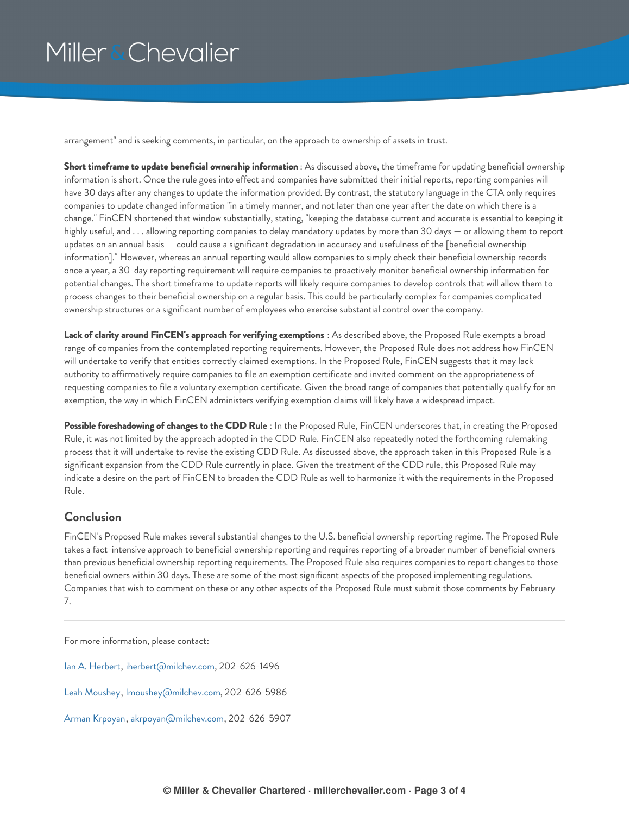arrangement" and is seeking comments, in particular, on the approach to ownership of assets in trust.

**Short timeframe to update beneficial ownership information** : As discussed above, the timeframe for updating beneficial ownership information is short. Once the rule goes into effect and companies have submitted their initial reports, reporting companies will have 30 days after any changes to update the information provided. By contrast, the statutory language in the CTA only requires companies to update changed information "in a timely manner, and not later than one year after the date on which there is a change." FinCEN shortened that window substantially, stating, "keeping the database current and accurate is essential to keeping it highly useful, and . . . allowing reporting companies to delay mandatory updates by more than 30 days — or allowing them to report updates on an annual basis — could cause a significant degradation in accuracy and usefulness of the [beneficial ownership information]." However, whereas an annual reporting would allow companies to simply check their beneficial ownership records once a year, a 30-day reporting requirement will require companies to proactively monitor beneficial ownership information for potential changes. The short timeframe to update reports will likely require companies to develop controls that will allow them to process changes to their beneficial ownership on a regular basis. This could be particularly complex for companies complicated ownership structures or a significant number of employees who exercise substantial control over the company.

**Lack of clarity around FinCEN's approach for verifying exemptions** : As described above, the Proposed Rule exempts a broad range of companies from the contemplated reporting requirements. However, the Proposed Rule does not address how FinCEN will undertake to verify that entities correctly claimed exemptions. In the Proposed Rule, FinCEN suggests that it may lack authority to affirmatively require companies to file an exemption certificate and invited comment on the appropriateness of requesting companies to file a voluntary exemption certificate. Given the broad range of companies that potentially qualify for an exemption, the way in which FinCEN administers verifying exemption claims will likely have a widespread impact.

**Possible foreshadowing of changes to the CDD Rule** : In the Proposed Rule, FinCEN underscores that, in creating the Proposed Rule, it was not limited by the approach adopted in the CDD Rule. FinCEN also repeatedly noted the forthcoming rulemaking process that it will undertake to revise the existing CDD Rule. As discussed above, the approach taken in this Proposed Rule is a significant expansion from the CDD Rule currently in place. Given the treatment of the CDD rule, this Proposed Rule may indicate a desire on the part of FinCEN to broaden the CDD Rule as well to harmonize it with the requirements in the Proposed Rule.

#### **Conclusion**

FinCEN's Proposed Rule makes several substantial changes to the U.S. beneficial ownership reporting regime. The Proposed Rule takes a fact-intensive approach to beneficial ownership reporting and requires reporting of a broader number of beneficial owners than previous beneficial ownership reporting requirements. The Proposed Rule also requires companies to report changes to those beneficial owners within 30 days. These are some of the most significant aspects of the proposed implementing regulations. Companies that wish to comment on these or any other aspects of the Proposed Rule must submit those comments by February 7.

For more information, please contact:

Ian A. [Herbert](https://www.millerchevalier.com/professional/ian-herbert), [iherbert@milchev.com](mailto:iherbert@milchev.com), 202-626-1496

Leah [Moushey](https://www.millerchevalier.com/professional/leah-moushey), [lmoushey@milchev.com](mailto:lmoushey@milchev.com), 202-626-5986

Arman [Krpoyan](https://www.millerchevalier.com/professional/arman-krpoyan), [akrpoyan@milchev.com](mailto:akrpoyan@milchev.com), 202-626-5907